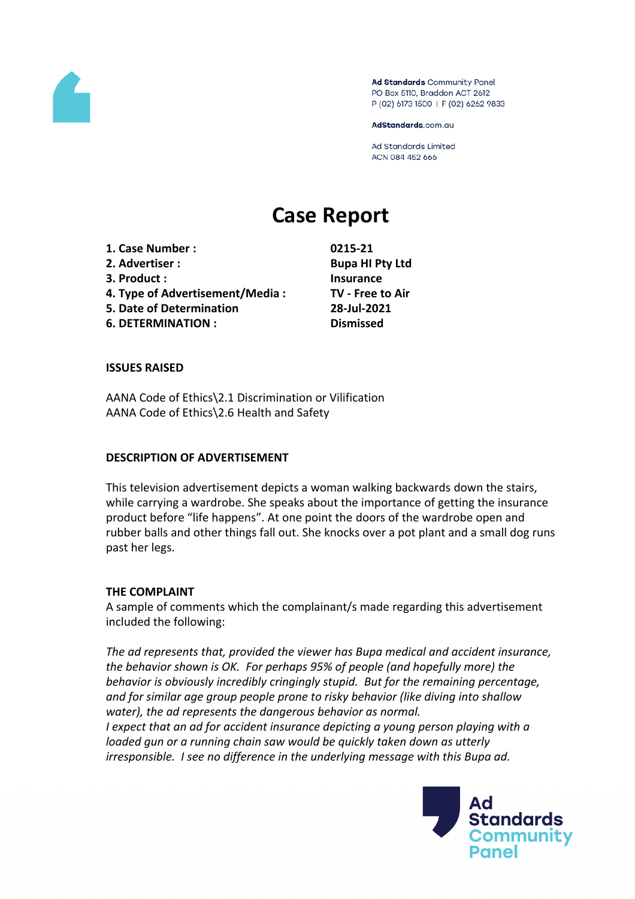

Ad Standards Community Panel PO Box 5110, Braddon ACT 2612 P (02) 6173 1500 | F (02) 6262 9833

AdStandards.com.au

**Ad Standards Limited** ACN 084 452 666

# **Case Report**

**1. Case Number : 0215-21 2. Advertiser : Bupa HI Pty Ltd 3. Product : Insurance 4. Type of Advertisement/Media : TV - Free to Air 5. Date of Determination 28-Jul-2021 6. DETERMINATION : Dismissed**

### **ISSUES RAISED**

AANA Code of Ethics\2.1 Discrimination or Vilification AANA Code of Ethics\2.6 Health and Safety

### **DESCRIPTION OF ADVERTISEMENT**

This television advertisement depicts a woman walking backwards down the stairs, while carrying a wardrobe. She speaks about the importance of getting the insurance product before "life happens". At one point the doors of the wardrobe open and rubber balls and other things fall out. She knocks over a pot plant and a small dog runs past her legs.

### **THE COMPLAINT**

A sample of comments which the complainant/s made regarding this advertisement included the following:

*The ad represents that, provided the viewer has Bupa medical and accident insurance, the behavior shown is OK. For perhaps 95% of people (and hopefully more) the behavior is obviously incredibly cringingly stupid. But for the remaining percentage, and for similar age group people prone to risky behavior (like diving into shallow water), the ad represents the dangerous behavior as normal. I expect that an ad for accident insurance depicting a young person playing with a*

*loaded gun or a running chain saw would be quickly taken down as utterly irresponsible. I see no difference in the underlying message with this Bupa ad.*

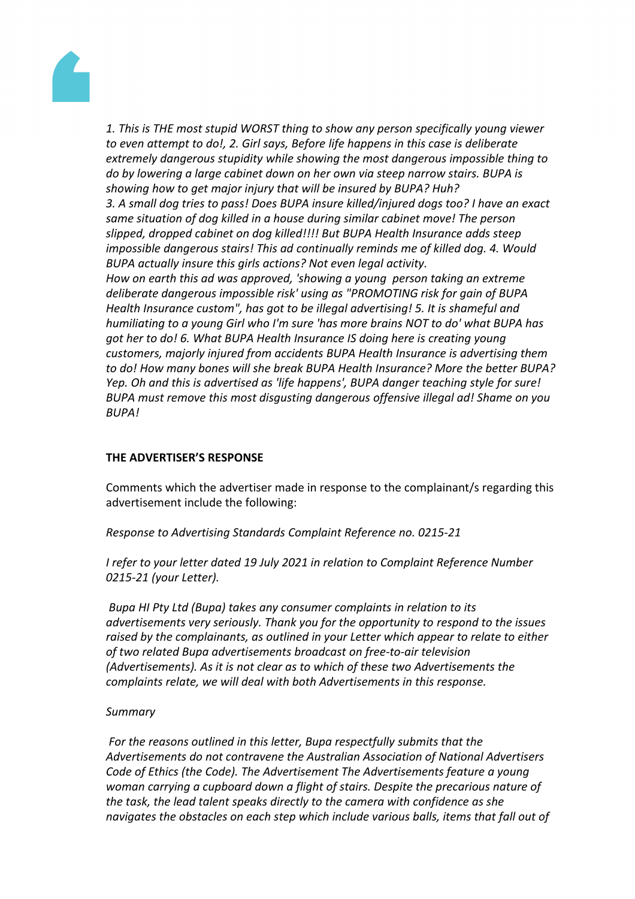

*1. This is THE most stupid WORST thing to show any person specifically young viewer to even attempt to do!, 2. Girl says, Before life happens in this case is deliberate extremely dangerous stupidity while showing the most dangerous impossible thing to do by lowering a large cabinet down on her own via steep narrow stairs. BUPA is showing how to get major injury that will be insured by BUPA? Huh? 3. A small dog tries to pass! Does BUPA insure killed/injured dogs too? I have an exact same situation of dog killed in a house during similar cabinet move! The person slipped, dropped cabinet on dog killed!!!! But BUPA Health Insurance adds steep impossible dangerous stairs! This ad continually reminds me of killed dog. 4. Would BUPA actually insure this girls actions? Not even legal activity. How on earth this ad was approved, 'showing a young person taking an extreme deliberate dangerous impossible risk' using as "PROMOTING risk for gain of BUPA Health Insurance custom", has got to be illegal advertising! 5. It is shameful and humiliating to a young Girl who I'm sure 'has more brains NOT to do' what BUPA has got her to do! 6. What BUPA Health Insurance IS doing here is creating young customers, majorly injured from accidents BUPA Health Insurance is advertising them to do! How many bones will she break BUPA Health Insurance? More the better BUPA? Yep. Oh and this is advertised as 'life happens', BUPA danger teaching style for sure! BUPA must remove this most disgusting dangerous offensive illegal ad! Shame on you BUPA!*

### **THE ADVERTISER'S RESPONSE**

Comments which the advertiser made in response to the complainant/s regarding this advertisement include the following:

*Response to Advertising Standards Complaint Reference no. 0215-21*

*I refer to your letter dated 19 July 2021 in relation to Complaint Reference Number 0215-21 (your Letter).*

*Bupa HI Pty Ltd (Bupa) takes any consumer complaints in relation to its advertisements very seriously. Thank you for the opportunity to respond to the issues raised by the complainants, as outlined in your Letter which appear to relate to either of two related Bupa advertisements broadcast on free-to-air television (Advertisements). As it is not clear as to which of these two Advertisements the complaints relate, we will deal with both Advertisements in this response.*

### *Summary*

*For the reasons outlined in this letter, Bupa respectfully submits that the Advertisements do not contravene the Australian Association of National Advertisers Code of Ethics (the Code). The Advertisement The Advertisements feature a young woman carrying a cupboard down a flight of stairs. Despite the precarious nature of the task, the lead talent speaks directly to the camera with confidence as she navigates the obstacles on each step which include various balls, items that fall out of*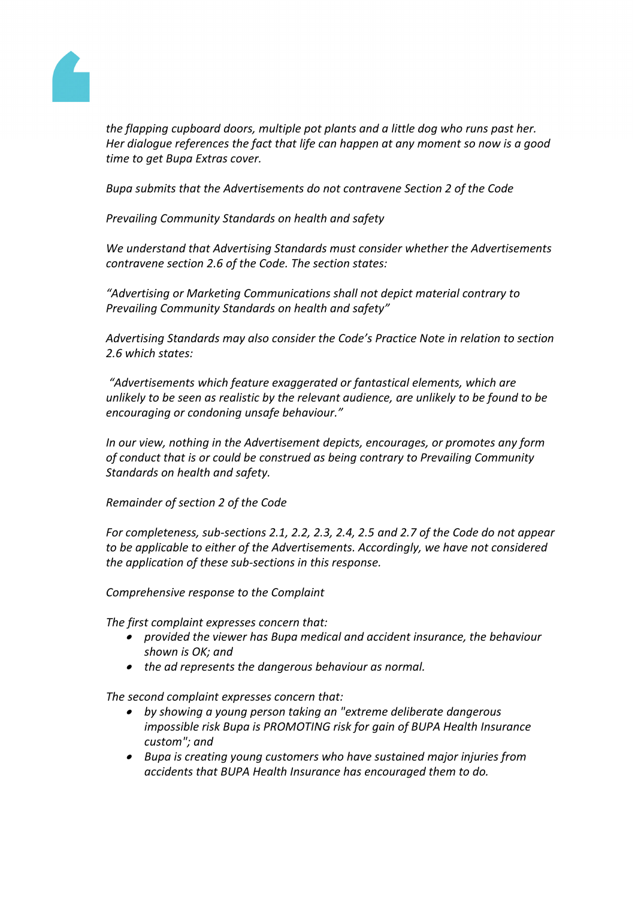

*the flapping cupboard doors, multiple pot plants and a little dog who runs past her. Her dialogue references the fact that life can happen at any moment so now is a good time to get Bupa Extras cover.*

*Bupa submits that the Advertisements do not contravene Section 2 of the Code*

*Prevailing Community Standards on health and safety*

*We understand that Advertising Standards must consider whether the Advertisements contravene section 2.6 of the Code. The section states:*

*"Advertising or Marketing Communications shall not depict material contrary to Prevailing Community Standards on health and safety"*

*Advertising Standards may also consider the Code's Practice Note in relation to section 2.6 which states:*

*"Advertisements which feature exaggerated or fantastical elements, which are unlikely to be seen as realistic by the relevant audience, are unlikely to be found to be encouraging or condoning unsafe behaviour."*

*In our view, nothing in the Advertisement depicts, encourages, or promotes any form of conduct that is or could be construed as being contrary to Prevailing Community Standards on health and safety.*

*Remainder of section 2 of the Code*

*For completeness, sub-sections 2.1, 2.2, 2.3, 2.4, 2.5 and 2.7 of the Code do not appear to be applicable to either of the Advertisements. Accordingly, we have not considered the application of these sub-sections in this response.*

*Comprehensive response to the Complaint*

*The first complaint expresses concern that:*

- *provided the viewer has Bupa medical and accident insurance, the behaviour shown is OK; and*
- *the ad represents the dangerous behaviour as normal.*

*The second complaint expresses concern that:*

- *by showing a young person taking an "extreme deliberate dangerous impossible risk Bupa is PROMOTING risk for gain of BUPA Health Insurance custom"; and*
- *Bupa is creating young customers who have sustained major injuries from accidents that BUPA Health Insurance has encouraged them to do.*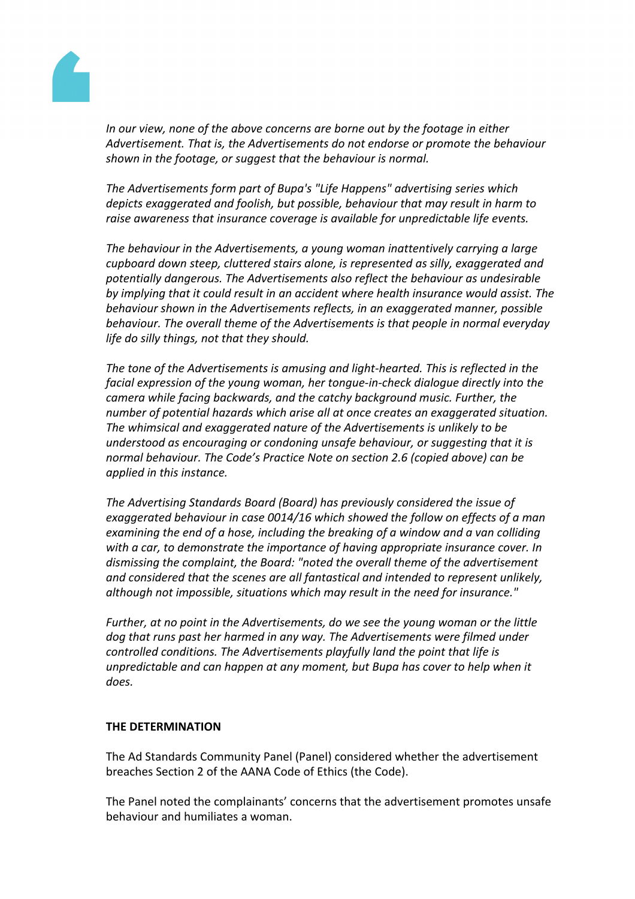

*In our view, none of the above concerns are borne out by the footage in either Advertisement. That is, the Advertisements do not endorse or promote the behaviour shown in the footage, or suggest that the behaviour is normal.*

*The Advertisements form part of Bupa's "Life Happens" advertising series which depicts exaggerated and foolish, but possible, behaviour that may result in harm to raise awareness that insurance coverage is available for unpredictable life events.*

*The behaviour in the Advertisements, a young woman inattentively carrying a large cupboard down steep, cluttered stairs alone, is represented as silly, exaggerated and potentially dangerous. The Advertisements also reflect the behaviour as undesirable by implying that it could result in an accident where health insurance would assist. The behaviour shown in the Advertisements reflects, in an exaggerated manner, possible behaviour. The overall theme of the Advertisements is that people in normal everyday life do silly things, not that they should.*

*The tone of the Advertisements is amusing and light-hearted. This is reflected in the facial expression of the young woman, her tongue-in-check dialogue directly into the camera while facing backwards, and the catchy background music. Further, the number of potential hazards which arise all at once creates an exaggerated situation. The whimsical and exaggerated nature of the Advertisements is unlikely to be understood as encouraging or condoning unsafe behaviour, or suggesting that it is normal behaviour. The Code's Practice Note on section 2.6 (copied above) can be applied in this instance.*

*The Advertising Standards Board (Board) has previously considered the issue of exaggerated behaviour in case 0014/16 which showed the follow on effects of a man examining the end of a hose, including the breaking of a window and a van colliding with a car, to demonstrate the importance of having appropriate insurance cover. In dismissing the complaint, the Board: "noted the overall theme of the advertisement and considered that the scenes are all fantastical and intended to represent unlikely, although not impossible, situations which may result in the need for insurance."*

*Further, at no point in the Advertisements, do we see the young woman or the little dog that runs past her harmed in any way. The Advertisements were filmed under controlled conditions. The Advertisements playfully land the point that life is unpredictable and can happen at any moment, but Bupa has cover to help when it does.*

### **THE DETERMINATION**

The Ad Standards Community Panel (Panel) considered whether the advertisement breaches Section 2 of the AANA Code of Ethics (the Code).

The Panel noted the complainants' concerns that the advertisement promotes unsafe behaviour and humiliates a woman.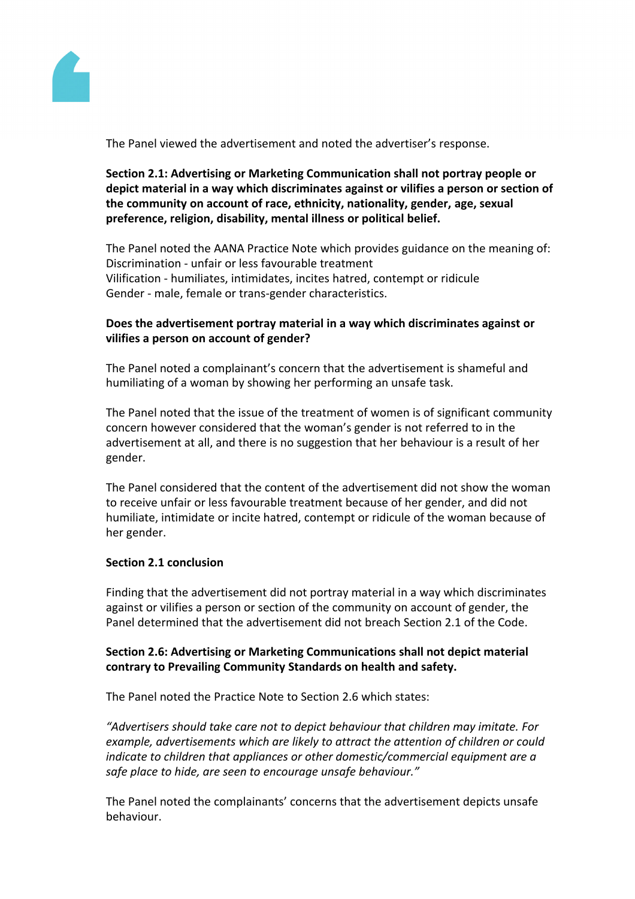

The Panel viewed the advertisement and noted the advertiser's response.

**Section 2.1: Advertising or Marketing Communication shall not portray people or depict material in a way which discriminates against or vilifies a person or section of the community on account of race, ethnicity, nationality, gender, age, sexual preference, religion, disability, mental illness or political belief.**

The Panel noted the AANA Practice Note which provides guidance on the meaning of: Discrimination - unfair or less favourable treatment Vilification - humiliates, intimidates, incites hatred, contempt or ridicule Gender - male, female or trans-gender characteristics.

## **Does the advertisement portray material in a way which discriminates against or vilifies a person on account of gender?**

The Panel noted a complainant's concern that the advertisement is shameful and humiliating of a woman by showing her performing an unsafe task.

The Panel noted that the issue of the treatment of women is of significant community concern however considered that the woman's gender is not referred to in the advertisement at all, and there is no suggestion that her behaviour is a result of her gender.

The Panel considered that the content of the advertisement did not show the woman to receive unfair or less favourable treatment because of her gender, and did not humiliate, intimidate or incite hatred, contempt or ridicule of the woman because of her gender.

### **Section 2.1 conclusion**

Finding that the advertisement did not portray material in a way which discriminates against or vilifies a person or section of the community on account of gender, the Panel determined that the advertisement did not breach Section 2.1 of the Code.

## **Section 2.6: Advertising or Marketing Communications shall not depict material contrary to Prevailing Community Standards on health and safety.**

The Panel noted the Practice Note to Section 2.6 which states:

*"Advertisers should take care not to depict behaviour that children may imitate. For example, advertisements which are likely to attract the attention of children or could indicate to children that appliances or other domestic/commercial equipment are a safe place to hide, are seen to encourage unsafe behaviour."*

The Panel noted the complainants' concerns that the advertisement depicts unsafe behaviour.